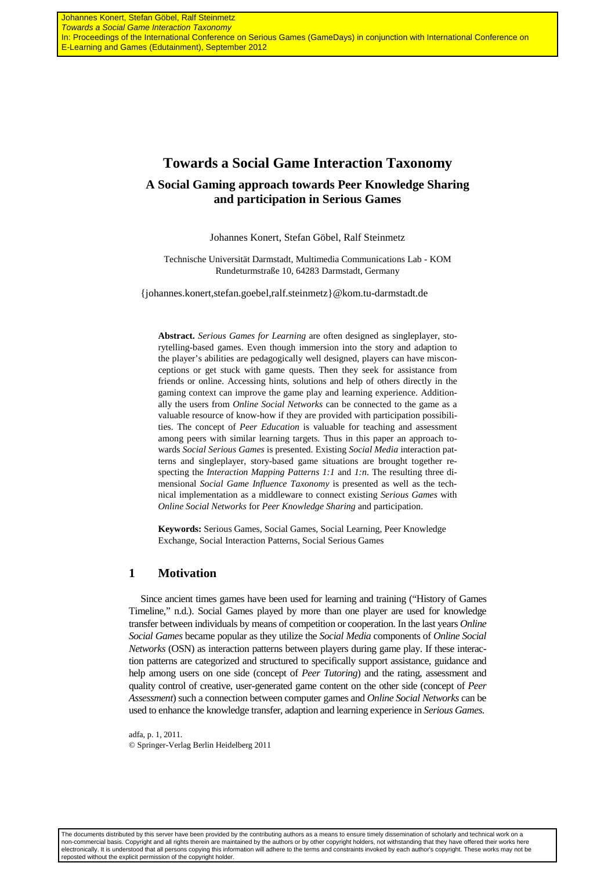# **Towards a Social Game Interaction Taxonomy**

# **A Social Gaming approach towards Peer Knowledge Sharing and participation in Serious Games**

Johannes Konert, Stefan Göbel, Ralf Steinmetz

Technische Universität Darmstadt, Multimedia Communications Lab - KOM Rundeturmstraße 10, 64283 Darmstadt, Germany

{johannes.konert,stefan.goebel,ralf.steinmetz}@kom.tu-darmstadt.de

**Abstract.** *Serious Games for Learning* are often designed as singleplayer, storytelling-based games. Even though immersion into the story and adaption to the player's abilities are pedagogically well designed, players can have misconceptions or get stuck with game quests. Then they seek for assistance from friends or online. Accessing hints, solutions and help of others directly in the gaming context can improve the game play and learning experience. Additionally the users from *Online Social Networks* can be connected to the game as a valuable resource of know-how if they are provided with participation possibilities. The concept of *Peer Education* is valuable for teaching and assessment among peers with similar learning targets. Thus in this paper an approach towards *Social Serious Games* is presented. Existing *Social Media* interaction patterns and singleplayer, story-based game situations are brought together respecting the *Interaction Mapping Patterns 1:1* and *1:n*. The resulting three dimensional *Social Game Influence Taxonomy* is presented as well as the technical implementation as a middleware to connect existing *Serious Games* with *Online Social Networks* for *Peer Knowledge Sharing* and participation.

**Keywords:** Serious Games, Social Games, Social Learning, Peer Knowledge Exchange, Social Interaction Patterns, Social Serious Games

## **1 Motivation**

Since ancient times games have been used for learning and training ("History of Games Timeline," n.d.). Social Games played by more than one player are used for knowledge transfer between individuals by means of competition or cooperation. In the last years *Online Social Games* became popular as they utilize the *Social Media* components of *Online Social Networks* (OSN) as interaction patterns between players during game play. If these interaction patterns are categorized and structured to specifically support assistance, guidance and help among users on one side (concept of *Peer Tutoring*) and the rating, assessment and quality control of creative, user-generated game content on the other side (concept of *Peer Assessment*) such a connection between computer games and *Online Social Networks* can be used to enhance the knowledge transfer, adaption and learning experience in *Serious Games*.

adfa, p. 1, 2011. © Springer-Verlag Berlin Heidelberg 2011

The documents distributed by this server have been provided by the contributing authors as a means to ensure timely dissemination of scholarly and technical work on a non-commercial basis. Copyright and all rights therein are maintained by the authors or by other copyright holders, not withstanding that they have offered their works here electronically. It is understood that all persons copying this information will adhere to the terms and constraints invoked by each author's copyright. These works may not be reposted without the explicit permission of the copyright holder.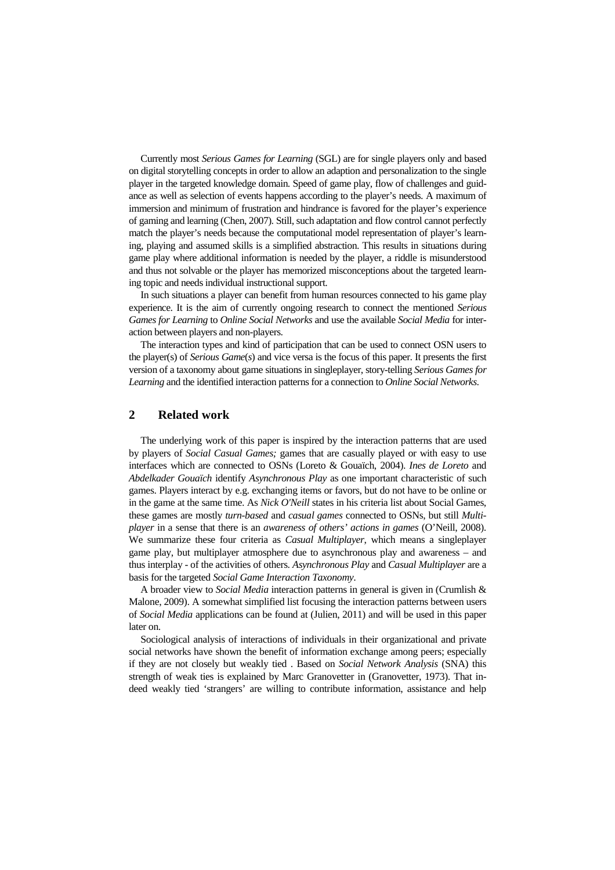Currently most *Serious Games for Learning* (SGL) are for single players only and based on digital storytelling concepts in order to allow an adaption and personalization to the single player in the targeted knowledge domain. Speed of game play, flow of challenges and guidance as well as selection of events happens according to the player's needs. A maximum of immersion and minimum of frustration and hindrance is favored for the player's experience of gaming and learning (Chen, 2007). Still, such adaptation and flow control cannot perfectly match the player's needs because the computational model representation of player's learning, playing and assumed skills is a simplified abstraction. This results in situations during game play where additional information is needed by the player, a riddle is misunderstood and thus not solvable or the player has memorized misconceptions about the targeted learning topic and needs individual instructional support.

In such situations a player can benefit from human resources connected to his game play experience. It is the aim of currently ongoing research to connect the mentioned *Serious Games for Learning* to *Online Social Networks* and use the available *Social Media* for interaction between players and non-players.

The interaction types and kind of participation that can be used to connect OSN users to the player(s) of *Serious Game*(*s*) and vice versa is the focus of this paper. It presents the first version of a taxonomy about game situations in singleplayer, story-telling *Serious Games for Learning* and the identified interaction patterns for a connection to *Online Social Networks*.

## **2 Related work**

The underlying work of this paper is inspired by the interaction patterns that are used by players of *Social Casual Games;* games that are casually played or with easy to use interfaces which are connected to OSNs (Loreto & Gouaïch, 2004). *Ines de Loreto* and *Abdelkader Gouaïch* identify *Asynchronous Play* as one important characteristic of such games. Players interact by e.g. exchanging items or favors, but do not have to be online or in the game at the same time. As *Nick O'Neill* states in his criteria list about Social Games, these games are mostly *turn-based* and *casual games* connected to OSNs, but still *Multiplayer* in a sense that there is an *awareness of others' actions in games* (O'Neill, 2008). We summarize these four criteria as *Casual Multiplayer*, which means a singleplayer game play, but multiplayer atmosphere due to asynchronous play and awareness – and thus interplay - of the activities of others. *Asynchronous Play* and *Casual Multiplayer* are a basis for the targeted *Social Game Interaction Taxonomy*.

A broader view to *Social Media* interaction patterns in general is given in (Crumlish & Malone, 2009). A somewhat simplified list focusing the interaction patterns between users of *Social Media* applications can be found at (Julien, 2011) and will be used in this paper later on.

Sociological analysis of interactions of individuals in their organizational and private social networks have shown the benefit of information exchange among peers; especially if they are not closely but weakly tied . Based on *Social Network Analysis* (SNA) this strength of weak ties is explained by Marc Granovetter in (Granovetter, 1973). That indeed weakly tied 'strangers' are willing to contribute information, assistance and help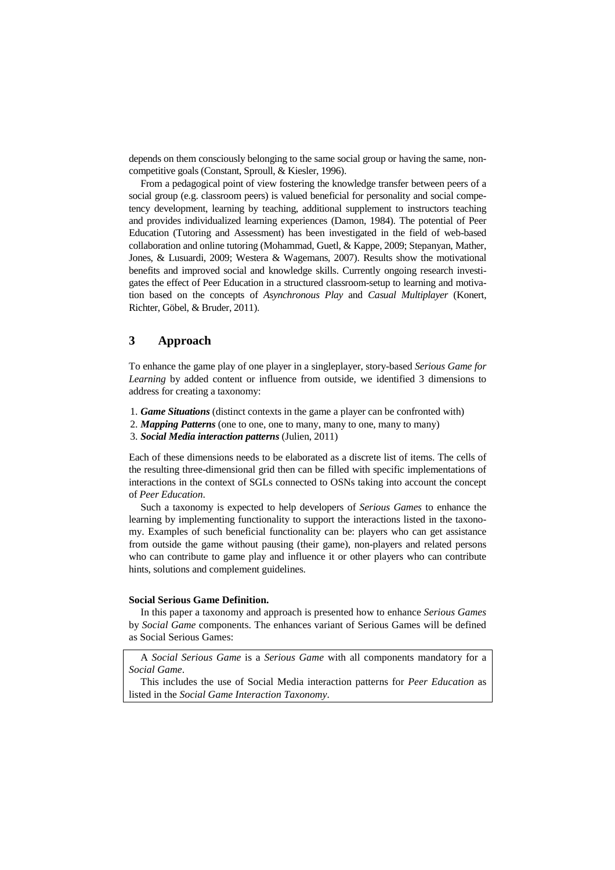depends on them consciously belonging to the same social group or having the same, noncompetitive goals (Constant, Sproull, & Kiesler, 1996).

From a pedagogical point of view fostering the knowledge transfer between peers of a social group (e.g. classroom peers) is valued beneficial for personality and social competency development, learning by teaching, additional supplement to instructors teaching and provides individualized learning experiences (Damon, 1984). The potential of Peer Education (Tutoring and Assessment) has been investigated in the field of web-based collaboration and online tutoring (Mohammad, Guetl, & Kappe, 2009; Stepanyan, Mather, Jones, & Lusuardi, 2009; Westera & Wagemans, 2007). Results show the motivational benefits and improved social and knowledge skills. Currently ongoing research investigates the effect of Peer Education in a structured classroom-setup to learning and motivation based on the concepts of *Asynchronous Play* and *Casual Multiplayer* (Konert, Richter, Göbel, & Bruder, 2011).

## **3 Approach**

To enhance the game play of one player in a singleplayer, story-based *Serious Game for Learning* by added content or influence from outside, we identified 3 dimensions to address for creating a taxonomy:

- 1. *Game Situations* (distinct contexts in the game a player can be confronted with)
- 2. *Mapping Patterns* (one to one, one to many, many to one, many to many)
- 3. *Social Media interaction patterns* (Julien, 2011)

Each of these dimensions needs to be elaborated as a discrete list of items. The cells of the resulting three-dimensional grid then can be filled with specific implementations of interactions in the context of SGLs connected to OSNs taking into account the concept of *Peer Education*.

Such a taxonomy is expected to help developers of *Serious Games* to enhance the learning by implementing functionality to support the interactions listed in the taxonomy. Examples of such beneficial functionality can be: players who can get assistance from outside the game without pausing (their game), non-players and related persons who can contribute to game play and influence it or other players who can contribute hints, solutions and complement guidelines.

#### **Social Serious Game Definition.**

In this paper a taxonomy and approach is presented how to enhance *Serious Games* by *Social Game* components. The enhances variant of Serious Games will be defined as Social Serious Games:

A *Social Serious Game* is a *Serious Game* with all components mandatory for a *Social Game*.

This includes the use of Social Media interaction patterns for *Peer Education* as listed in the *Social Game Interaction Taxonomy*.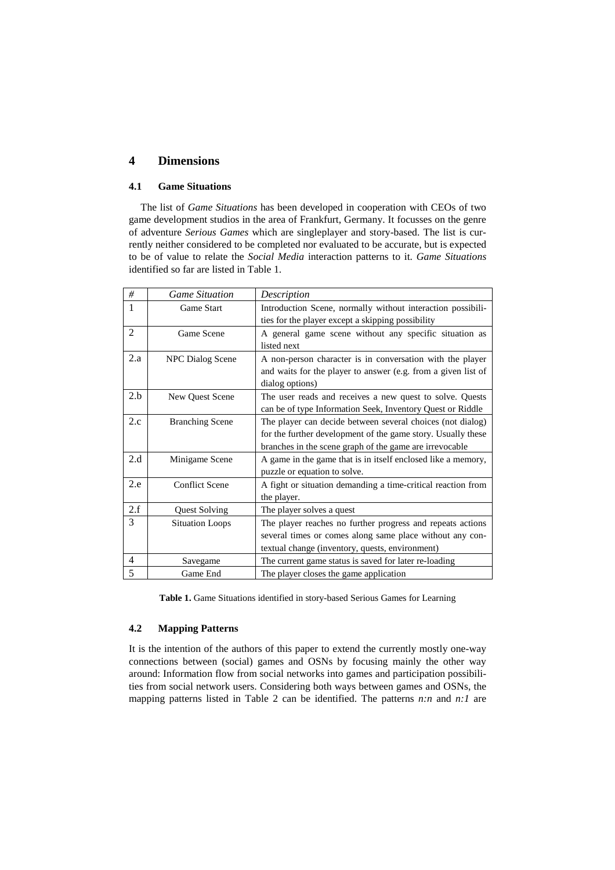# **4 Dimensions**

## **4.1 Game Situations**

The list of *Game Situations* has been developed in cooperation with CEOs of two game development studios in the area of Frankfurt, Germany. It focusses on the genre of adventure *Serious Games* which are singleplayer and story-based. The list is currently neither considered to be completed nor evaluated to be accurate, but is expected to be of value to relate the *Social Media* interaction patterns to it. *Game Situations* identified so far are listed in Table 1.

| $\#$           | <b>Game Situation</b>   | Description                                                   |
|----------------|-------------------------|---------------------------------------------------------------|
| 1              | Game Start              | Introduction Scene, normally without interaction possibili-   |
|                |                         | ties for the player except a skipping possibility             |
| $\overline{2}$ | Game Scene              | A general game scene without any specific situation as        |
|                |                         | listed next                                                   |
| 2.a            | <b>NPC Dialog Scene</b> | A non-person character is in conversation with the player     |
|                |                         | and waits for the player to answer (e.g. from a given list of |
|                |                         | dialog options)                                               |
| 2.b            | New Quest Scene         | The user reads and receives a new quest to solve. Quests      |
|                |                         | can be of type Information Seek, Inventory Quest or Riddle    |
| 2.c            | <b>Branching Scene</b>  | The player can decide between several choices (not dialog)    |
|                |                         | for the further development of the game story. Usually these  |
|                |                         | branches in the scene graph of the game are irrevocable       |
| 2.d            | Minigame Scene          | A game in the game that is in itself enclosed like a memory,  |
|                |                         | puzzle or equation to solve.                                  |
| 2.e            | <b>Conflict Scene</b>   | A fight or situation demanding a time-critical reaction from  |
|                |                         | the player.                                                   |
| 2.f            | Quest Solving           | The player solves a quest                                     |
| 3              | <b>Situation Loops</b>  | The player reaches no further progress and repeats actions    |
|                |                         | several times or comes along same place without any con-      |
|                |                         | textual change (inventory, quests, environment)               |
| 4              | Savegame                | The current game status is saved for later re-loading         |
| 5              | Game End                | The player closes the game application                        |

**Table 1.** Game Situations identified in story-based Serious Games for Learning

### **4.2 Mapping Patterns**

It is the intention of the authors of this paper to extend the currently mostly one-way connections between (social) games and OSNs by focusing mainly the other way around: Information flow from social networks into games and participation possibilities from social network users. Considering both ways between games and OSNs, the mapping patterns listed in Table 2 can be identified. The patterns *n:n* and *n:1* are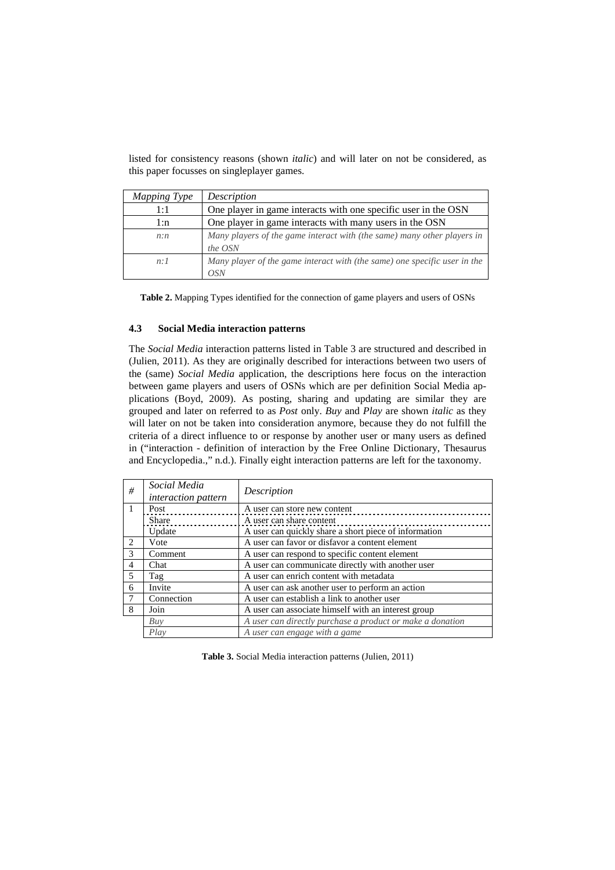listed for consistency reasons (shown *italic*) and will later on not be considered, as this paper focusses on singleplayer games.

| Mapping Type | Description                                                               |
|--------------|---------------------------------------------------------------------------|
| 1:1          | One player in game interacts with one specific user in the OSN            |
| 1:n          | One player in game interacts with many users in the OSN                   |
| n:n          | Many players of the game interact with (the same) many other players in   |
|              | the OSN                                                                   |
| n:1          | Many player of the game interact with (the same) one specific user in the |
|              | OSN                                                                       |

**Table 2.** Mapping Types identified for the connection of game players and users of OSNs

### **4.3 Social Media interaction patterns**

The *Social Media* interaction patterns listed in Table 3 are structured and described in (Julien, 2011). As they are originally described for interactions between two users of the (same) *Social Media* application, the descriptions here focus on the interaction between game players and users of OSNs which are per definition Social Media applications (Boyd, 2009). As posting, sharing and updating are similar they are grouped and later on referred to as *Post* only. *Buy* and *Play* are shown *italic* as they will later on not be taken into consideration anymore, because they do not fulfill the criteria of a direct influence to or response by another user or many users as defined in ("interaction - definition of interaction by the Free Online Dictionary, Thesaurus and Encyclopedia.," n.d.). Finally eight interaction patterns are left for the taxonomy.

| #                      | Social Media<br>interaction pattern | Description                                               |  |  |
|------------------------|-------------------------------------|-----------------------------------------------------------|--|--|
| 1                      | Post                                | A user can store new content                              |  |  |
|                        | Share                               | A user can share content                                  |  |  |
|                        | Update                              | A user can quickly share a short piece of information     |  |  |
| $\mathcal{D}_{\alpha}$ | Vote                                | A user can favor or disfavor a content element            |  |  |
| $\mathcal{F}$          | Comment                             | A user can respond to specific content element            |  |  |
| 4                      | Chat                                | A user can communicate directly with another user         |  |  |
| 5                      | Tag                                 | A user can enrich content with metadata                   |  |  |
| 6                      | Invite                              | A user can ask another user to perform an action          |  |  |
|                        | Connection                          | A user can establish a link to another user               |  |  |
| 8                      | Join                                | A user can associate himself with an interest group       |  |  |
|                        | Buy                                 | A user can directly purchase a product or make a donation |  |  |
|                        | Play                                | A user can engage with a game                             |  |  |

| <b>Table 3.</b> Social Media interaction patterns (Julien, 2011) |  |  |  |
|------------------------------------------------------------------|--|--|--|
|------------------------------------------------------------------|--|--|--|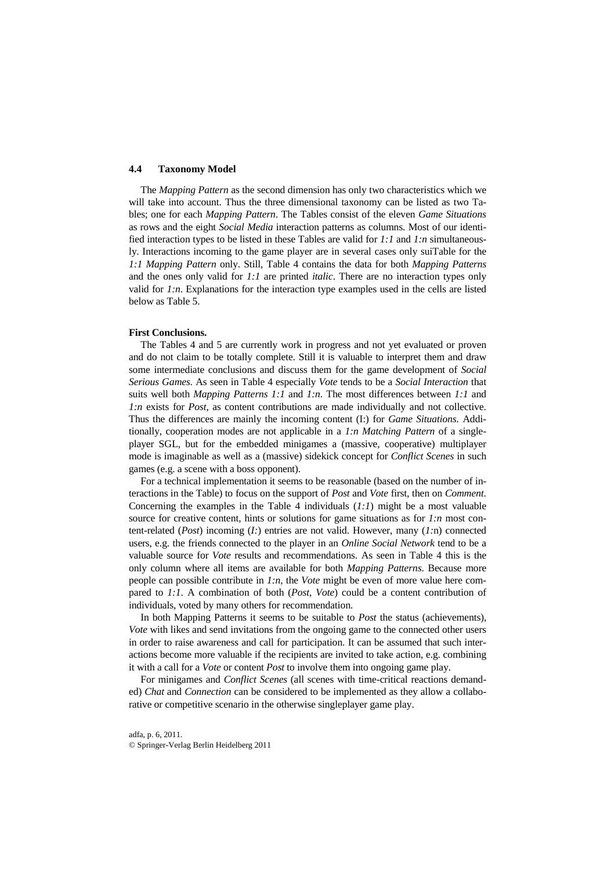### **4.4 Taxonomy Model**

The *Mapping Pattern* as the second dimension has only two characteristics which we will take into account. Thus the three dimensional taxonomy can be listed as two Tables; one for each *Mapping Pattern*. The Tables consist of the eleven *Game Situations* as rows and the eight *Social Media* interaction patterns as columns. Most of our identified interaction types to be listed in these Tables are valid for *1:1* and *1:n* simultaneously. Interactions incoming to the game player are in several cases only suiTable for the *1:1 Mapping Pattern* only. Still, Table 4 contains the data for both *Mapping Patterns* and the ones only valid for *1:1* are printed *italic*. There are no interaction types only valid for *1:n*. Explanations for the interaction type examples used in the cells are listed below as Table 5.

#### **First Conclusions.**

The Tables 4 and 5 are currently work in progress and not yet evaluated or proven and do not claim to be totally complete. Still it is valuable to interpret them and draw some intermediate conclusions and discuss them for the game development of *Social Serious Games*. As seen in Table 4 especially *Vote* tends to be a *Social Interaction* that suits well both *Mapping Patterns 1:1* and *1:n*. The most differences between *1:1* and *1:n* exists for *Post*, as content contributions are made individually and not collective. Thus the differences are mainly the incoming content (I:) for *Game Situations*. Additionally, cooperation modes are not applicable in a *1:n Matching Pattern* of a singleplayer SGL, but for the embedded minigames a (massive, cooperative) multiplayer mode is imaginable as well as a (massive) sidekick concept for *Conflict Scenes* in such games (e.g. a scene with a boss opponent).

For a technical implementation it seems to be reasonable (based on the number of interactions in the Table) to focus on the support of *Post* and *Vote* first, then on *Comment*. Concerning the examples in the Table 4 individuals (*1:1*) might be a most valuable source for creative content, hints or solutions for game situations as for *1:n* most content-related (*Post*) incoming (*I:*) entries are not valid. However, many (*1:*n) connected users, e.g. the friends connected to the player in an *Online Social Network* tend to be a valuable source for *Vote* results and recommendations. As seen in Table 4 this is the only column where all items are available for both *Mapping Patterns*. Because more people can possible contribute in *1:n*, the *Vote* might be even of more value here compared to *1:1*. A combination of both (*Post*, *Vote*) could be a content contribution of individuals, voted by many others for recommendation.

In both Mapping Patterns it seems to be suitable to *Post* the status (achievements), *Vote* with likes and send invitations from the ongoing game to the connected other users in order to raise awareness and call for participation. It can be assumed that such interactions become more valuable if the recipients are invited to take action, e.g. combining it with a call for a *Vote* or content *Post* to involve them into ongoing game play.

For minigames and *Conflict Scenes* (all scenes with time-critical reactions demanded) *Chat* and *Connection* can be considered to be implemented as they allow a collaborative or competitive scenario in the otherwise singleplayer game play.

adfa, p. 6, 2011. © Springer-Verlag Berlin Heidelberg 2011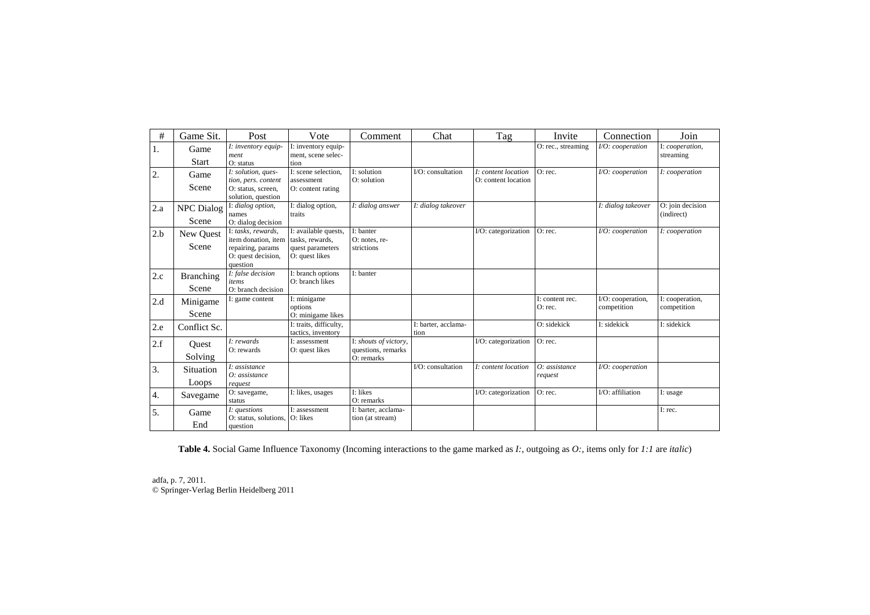| #   | Game Sit.                  | Post                                                                                             | Vote                                                                          | Comment                                                   | Chat                        | Tag                                               | Invite                       | Connection                       | Join                           |
|-----|----------------------------|--------------------------------------------------------------------------------------------------|-------------------------------------------------------------------------------|-----------------------------------------------------------|-----------------------------|---------------------------------------------------|------------------------------|----------------------------------|--------------------------------|
| 1.  | Game<br><b>Start</b>       | I: inventory equip-<br>ment<br>O: status                                                         | I: inventory equip-<br>ment, scene selec-<br>tion                             |                                                           |                             |                                                   | O: rec., streaming           | I/O: cooperation                 | I: cooperation,<br>streaming   |
| 2.  | Game<br>Scene              | I: solution, ques-<br>tion, pers. content<br>O: status, screen,<br>solution, question            | I: scene selection,<br>assessment<br>O: content rating                        | I: solution<br>O: solution                                | I/O: consultation           | <i>I: content location</i><br>O: content location | O: rec.                      | I/O: cooperation                 | I: cooperation                 |
| 2.a | <b>NPC</b> Dialog<br>Scene | I: dialog option,<br>names<br>O: dialog decision                                                 | I: dialog option,<br>traits                                                   | I: dialog answer                                          | I: dialog takeover          |                                                   |                              | I: dialog takeover               | O: join decision<br>(indirect) |
| 2.b | New Quest<br>Scene         | I: tasks, rewards,<br>item donation, item<br>repairing, params<br>O: quest decision,<br>question | I: available quests,<br>tasks, rewards,<br>quest parameters<br>O: quest likes | I: banter<br>O: notes, re-<br>strictions                  |                             | I/O: categorization                               | O: rec.                      | I/O: cooperation                 | I: cooperation                 |
| 2.c | <b>Branching</b><br>Scene  | I: false decision<br>items<br>O: branch decision                                                 | I: branch options<br>O: branch likes                                          | I: banter                                                 |                             |                                                   |                              |                                  |                                |
| 2.d | Minigame<br>Scene          | I: game content                                                                                  | I: minigame<br>options<br>O: minigame likes                                   |                                                           |                             |                                                   | I: content rec.<br>$O:$ rec. | I/O: cooperation,<br>competition | I: cooperation,<br>competition |
| 2.e | Conflict Sc.               |                                                                                                  | I: traits, difficulty,<br>tactics, inventory                                  |                                                           | I: barter, acclama-<br>tion |                                                   | O: sidekick                  | I: sidekick                      | I: sidekick                    |
| 2.f | Quest<br>Solving           | I: rewards<br>O: rewards                                                                         | I: assessment<br>O: quest likes                                               | I: shouts of victory,<br>questions, remarks<br>O: remarks |                             | I/O: categorization                               | $O:$ rec.                    |                                  |                                |
| 3.  | Situation<br>Loops         | I: assistance<br>O: assistance<br>request                                                        |                                                                               |                                                           | I/O: consultation           | I: content location                               | $O:$ assistance<br>request   | I/O: cooperation                 |                                |
| 4.  | Savegame                   | O: savegame,<br>status                                                                           | I: likes, usages                                                              | I: likes<br>O: remarks                                    |                             | I/O: categorization                               | O: rec.                      | I/O: affiliation                 | I: usage                       |
| 5.  | Game<br>End                | I: questions<br>O: status, solutions,<br>question                                                | I: assessment<br>O: likes                                                     | I: barter, acclama-<br>tion (at stream)                   |                             |                                                   |                              |                                  | I: rec.                        |

**Table 4.** Social Game Influence Taxonomy (Incoming interactions to the game marked as *I:*, outgoing as *O:,* items only for *1:1* are *italic*)

adfa, p. 7, 2011. © Springer-Verlag Berlin Heidelberg 2011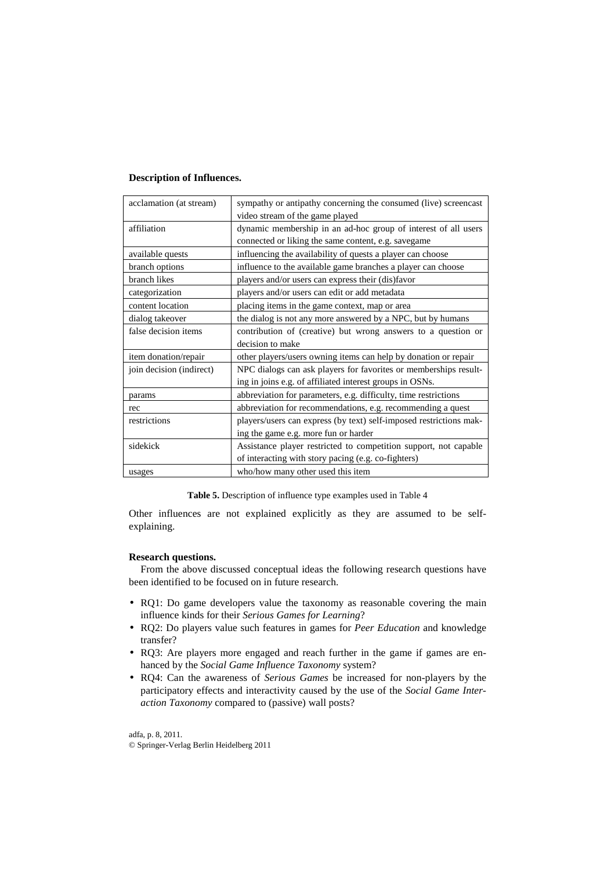### **Description of Influences.**

| acclamation (at stream)  | sympathy or antipathy concerning the consumed (live) screencast    |
|--------------------------|--------------------------------------------------------------------|
|                          | video stream of the game played                                    |
| affiliation              | dynamic membership in an ad-hoc group of interest of all users     |
|                          | connected or liking the same content, e.g. savegame                |
| available quests         | influencing the availability of quests a player can choose         |
| branch options           | influence to the available game branches a player can choose       |
| branch likes             | players and/or users can express their (dis)favor                  |
| categorization           | players and/or users can edit or add metadata                      |
| content location         | placing items in the game context, map or area                     |
| dialog takeover          | the dialog is not any more answered by a NPC, but by humans        |
| false decision items     | contribution of (creative) but wrong answers to a question or      |
|                          | decision to make                                                   |
| item donation/repair     | other players/users owning items can help by donation or repair    |
| join decision (indirect) | NPC dialogs can ask players for favorites or memberships result-   |
|                          | ing in joins e.g. of affiliated interest groups in OSNs.           |
| params                   | abbreviation for parameters, e.g. difficulty, time restrictions    |
| rec                      | abbreviation for recommendations, e.g. recommending a quest        |
| restrictions             | players/users can express (by text) self-imposed restrictions mak- |
|                          | ing the game e.g. more fun or harder                               |
| sidekick                 | Assistance player restricted to competition support, not capable   |
|                          | of interacting with story pacing (e.g. co-fighters)                |
| usages                   | who/how many other used this item                                  |

**Table 5.** Description of influence type examples used in Table 4

Other influences are not explained explicitly as they are assumed to be selfexplaining.

### **Research questions.**

From the above discussed conceptual ideas the following research questions have been identified to be focused on in future research.

- RQ1: Do game developers value the taxonomy as reasonable covering the main influence kinds for their *Serious Games for Learning*?
- RQ2: Do players value such features in games for *Peer Education* and knowledge transfer?
- RQ3: Are players more engaged and reach further in the game if games are enhanced by the *Social Game Influence Taxonomy* system?
- RQ4: Can the awareness of *Serious Games* be increased for non-players by the participatory effects and interactivity caused by the use of the *Social Game Interaction Taxonomy* compared to (passive) wall posts?

adfa, p. 8, 2011. © Springer-Verlag Berlin Heidelberg 2011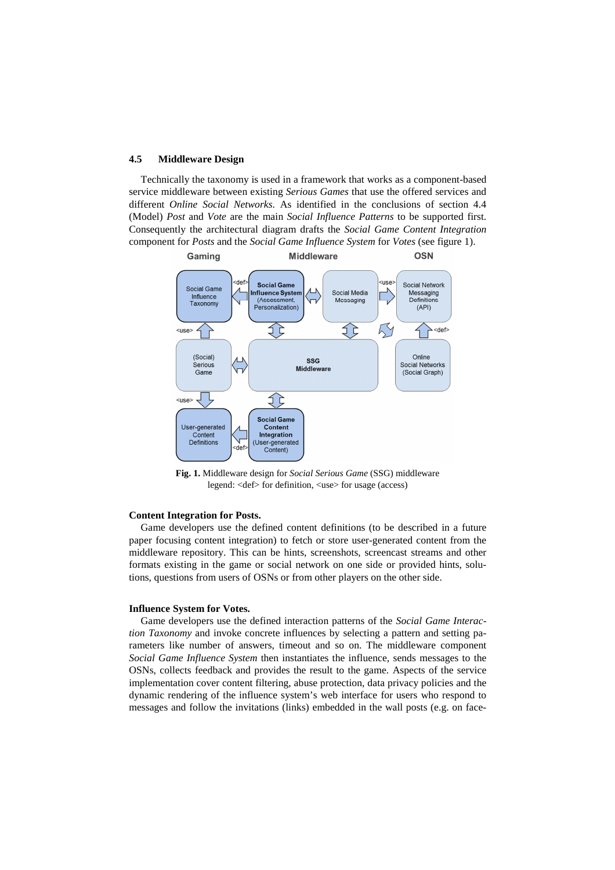#### **4.5 Middleware Design**

Technically the taxonomy is used in a framework that works as a component-based service middleware between existing *Serious Games* that use the offered services and different *Online Social Networks*. As identified in the conclusions of section 4.4 (Model) *Post* and *Vote* are the main *Social Influence Patterns* to be supported first. Consequently the architectural diagram drafts the *Social Game Content Integration* component for *Posts* and the *Social Game Influence System* for *Votes* (see figure 1).



**Fig. 1.** Middleware design for *Social Serious Game* (SSG) middleware legend: <def> for definition, <use> for usage (access)

#### **Content Integration for Posts.**

Game developers use the defined content definitions (to be described in a future paper focusing content integration) to fetch or store user-generated content from the middleware repository. This can be hints, screenshots, screencast streams and other formats existing in the game or social network on one side or provided hints, solutions, questions from users of OSNs or from other players on the other side.

#### **Influence System for Votes.**

Game developers use the defined interaction patterns of the *Social Game Interaction Taxonomy* and invoke concrete influences by selecting a pattern and setting parameters like number of answers, timeout and so on. The middleware component *Social Game Influence System* then instantiates the influence, sends messages to the OSNs, collects feedback and provides the result to the game. Aspects of the service implementation cover content filtering, abuse protection, data privacy policies and the dynamic rendering of the influence system's web interface for users who respond to messages and follow the invitations (links) embedded in the wall posts (e.g. on face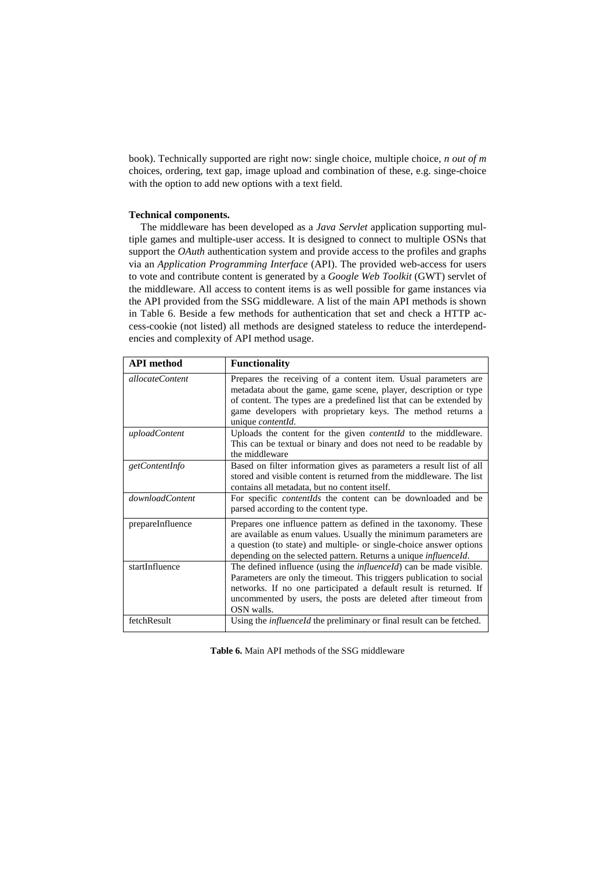book). Technically supported are right now: single choice, multiple choice, *n out of m* choices, ordering, text gap, image upload and combination of these, e.g. singe-choice with the option to add new options with a text field.

#### **Technical components.**

The middleware has been developed as a *Java Servlet* application supporting multiple games and multiple-user access. It is designed to connect to multiple OSNs that support the *OAuth* authentication system and provide access to the profiles and graphs via an *Application Programming Interface* (API). The provided web-access for users to vote and contribute content is generated by a *Google Web Toolkit* (GWT) servlet of the middleware. All access to content items is as well possible for game instances via the API provided from the SSG middleware. A list of the main API methods is shown in Table 6. Beside a few methods for authentication that set and check a HTTP access-cookie (not listed) all methods are designed stateless to reduce the interdependencies and complexity of API method usage.

| <b>API</b> method      | <b>Functionality</b>                                                                                                                                                                                                                                                                                    |
|------------------------|---------------------------------------------------------------------------------------------------------------------------------------------------------------------------------------------------------------------------------------------------------------------------------------------------------|
| allocateContent        | Prepares the receiving of a content item. Usual parameters are<br>metadata about the game, game scene, player, description or type<br>of content. The types are a predefined list that can be extended by<br>game developers with proprietary keys. The method returns a<br>unique <i>contentId</i> .   |
| uploadContent          | Uploads the content for the given <i>contentia</i> to the middleware.<br>This can be textual or binary and does not need to be readable by<br>the middleware                                                                                                                                            |
| getContentInfo         | Based on filter information gives as parameters a result list of all<br>stored and visible content is returned from the middleware. The list<br>contains all metadata, but no content itself.                                                                                                           |
| <i>downloadContent</i> | For specific <i>contentIds</i> the content can be downloaded and be<br>parsed according to the content type.                                                                                                                                                                                            |
| prepareInfluence       | Prepares one influence pattern as defined in the taxonomy. These<br>are available as enum values. Usually the minimum parameters are<br>a question (to state) and multiple- or single-choice answer options<br>depending on the selected pattern. Returns a unique influenceId.                         |
| startInfluence         | The defined influence (using the <i>influenceId</i> ) can be made visible.<br>Parameters are only the timeout. This triggers publication to social<br>networks. If no one participated a default result is returned. If<br>uncommented by users, the posts are deleted after timeout from<br>OSN walls. |
| fetchResult            | Using the <i>influenceld</i> the preliminary or final result can be fetched.                                                                                                                                                                                                                            |

**Table 6.** Main API methods of the SSG middleware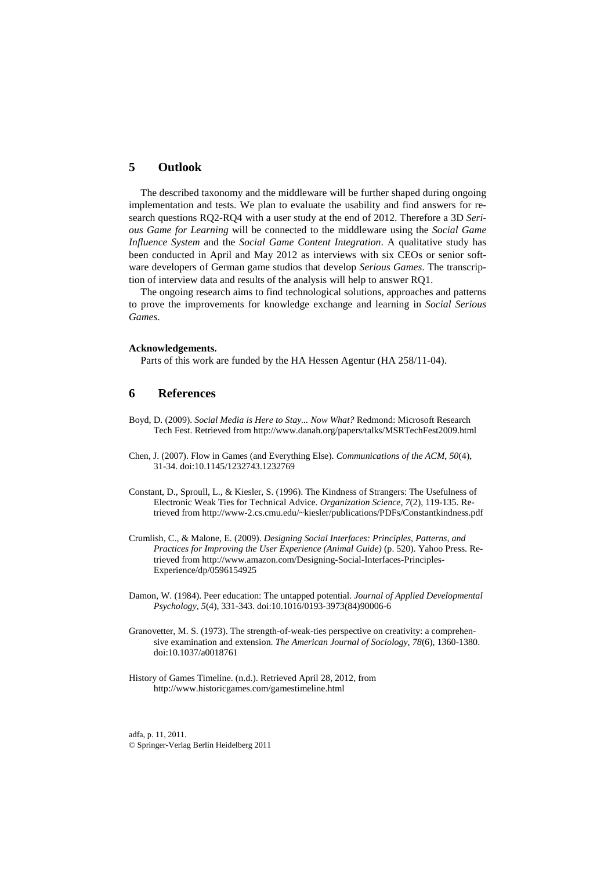## **5 Outlook**

The described taxonomy and the middleware will be further shaped during ongoing implementation and tests. We plan to evaluate the usability and find answers for research questions RQ2-RQ4 with a user study at the end of 2012. Therefore a 3D *Serious Game for Learning* will be connected to the middleware using the *Social Game Influence System* and the *Social Game Content Integration*. A qualitative study has been conducted in April and May 2012 as interviews with six CEOs or senior software developers of German game studios that develop *Serious Games*. The transcription of interview data and results of the analysis will help to answer RQ1.

The ongoing research aims to find technological solutions, approaches and patterns to prove the improvements for knowledge exchange and learning in *Social Serious Games*.

#### **Acknowledgements.**

Parts of this work are funded by the HA Hessen Agentur (HA 258/11-04).

## **6 References**

- Boyd, D. (2009). *Social Media is Here to Stay... Now What?* Redmond: Microsoft Research Tech Fest. Retrieved from http://www.danah.org/papers/talks/MSRTechFest2009.html
- Chen, J. (2007). Flow in Games (and Everything Else). *Communications of the ACM*, *50*(4), 31-34. doi:10.1145/1232743.1232769
- Constant, D., Sproull, L., & Kiesler, S. (1996). The Kindness of Strangers: The Usefulness of Electronic Weak Ties for Technical Advice. *Organization Science*, *7*(2), 119-135. Retrieved from http://www-2.cs.cmu.edu/~kiesler/publications/PDFs/Constantkindness.pdf
- Crumlish, C., & Malone, E. (2009). *Designing Social Interfaces: Principles, Patterns, and Practices for Improving the User Experience (Animal Guide)* (p. 520). Yahoo Press. Retrieved from http://www.amazon.com/Designing-Social-Interfaces-Principles-Experience/dp/0596154925
- Damon, W. (1984). Peer education: The untapped potential. *Journal of Applied Developmental Psychology*, *5*(4), 331-343. doi:10.1016/0193-3973(84)90006-6
- Granovetter, M. S. (1973). The strength-of-weak-ties perspective on creativity: a comprehensive examination and extension. *The American Journal of Sociology*, *78*(6), 1360-1380. doi:10.1037/a0018761
- History of Games Timeline. (n.d.). Retrieved April 28, 2012, from http://www.historicgames.com/gamestimeline.html

adfa, p. 11, 2011. © Springer-Verlag Berlin Heidelberg 2011